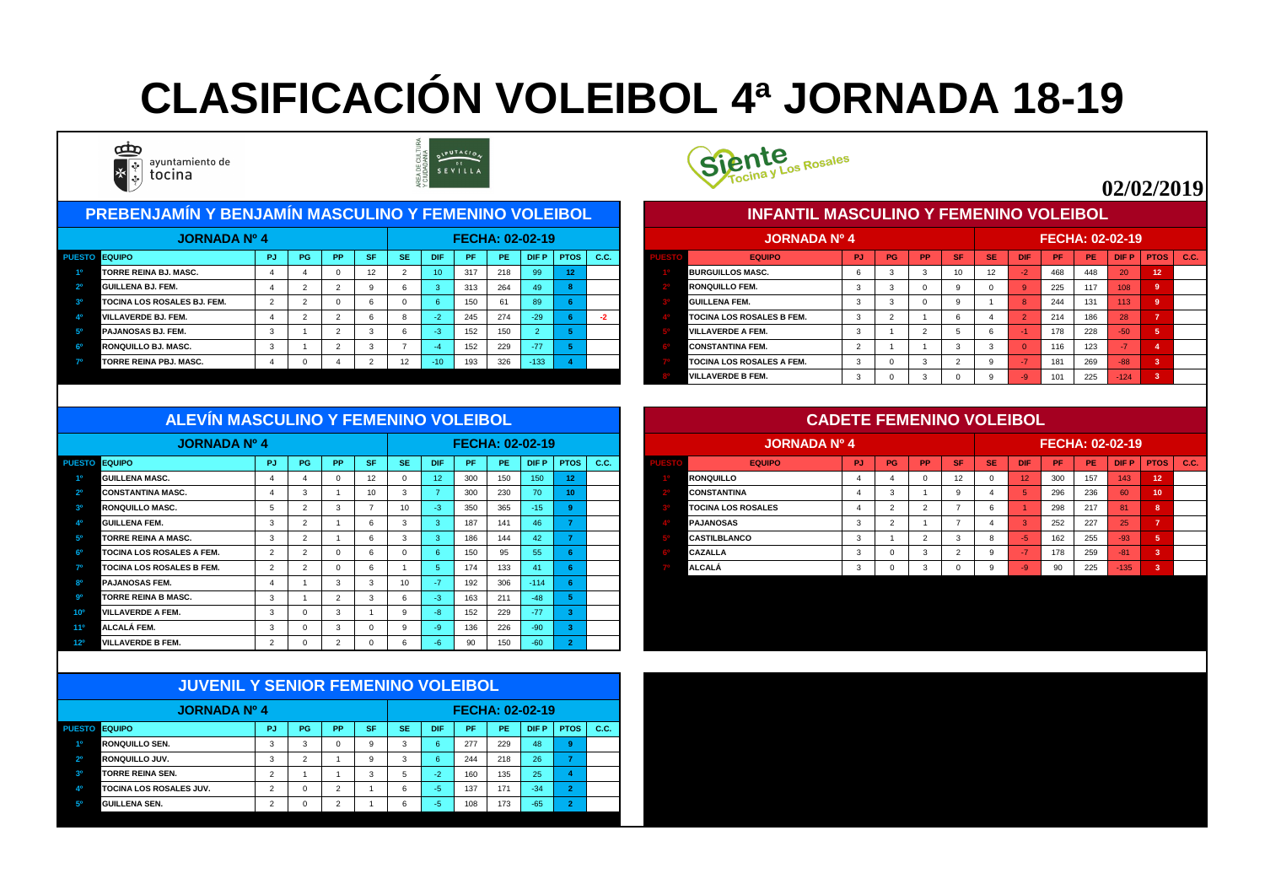#### PUESTO EQUIPO CONTRA PIPUITOS | PO | PPIISFINSE | DIFIPIPE | PEIIDIFPIPTOS | C.C. | CONTROL CONTROL EQUIPO CONTROL PUITOS | PUISTO EQUIPO CONTROL PRINSE | DIFIPIPE | DIFPIPTOS | C.C. **1º TORRE REINA BJ. MASC.** 4 4 0 12 2 10 317 218 99 **12 1º BURGUILLOS MASC.** 6 3 3 10 12 -2 468 448 20 **12 2º GUILLENA BJ. FEM.** 4 2 2 9 6 3 313 264 49 **8 2º RONQUILLO FEM.** 3 3 0 9 0 9 225 117 108 **9 3º TOCINA LOS ROSALES BJ. FEM. 2 2 0 6 0 6 61 89 <mark>6 GUILLE</mark> 4º VILLAVERDE BJ. FEM.** 4 2 2 6 8 -2 245 274 -29 **6 -2 4º TOCINA LOS ROSALES B FEM.** 3 2 1 6 4 2 214 186 28 **7 5º PAJANOSAS BJ. FEM.** 3 1 2 3 6 -3 152 150 2 **5 5º VILLAVERDE A FEM.** 3 1 2 5 6 -1 178 228 -50 **5 6º RONQUILLO BJ. MASC.** 3 1 2 3 7 -4 152 229 -77 **5 6º CONSTANTINA FEM.** 2 1 1 3 3 0 116 123 -7 **4 7º TORRE REINA PBJ. MASC.** 4 0 4 2 12 -10 193 326 -133 **4 7º TOCINA LOS ROSALES A FEM.** 3 0 3 2 9 -7 181 269 -88 **3 JORNADA Nº 4 FECHA: 02-02-19 JORNADA Nº 4 PREBENJAMÍN Y BENJAMÍN MASCULINO Y FEMENINO VOLEIBOL**





|      | <b>JORNADA Nº 4</b>              |           |           |           |           |           |            |           | <b>FECHA: 02-02-19</b> |             |                |             |
|------|----------------------------------|-----------|-----------|-----------|-----------|-----------|------------|-----------|------------------------|-------------|----------------|-------------|
| ESTO | <b>EQUIPO</b>                    | <b>PJ</b> | <b>PG</b> | <b>PP</b> | <b>SF</b> | <b>SE</b> | <b>DIF</b> | <b>PF</b> | <b>PE</b>              | <b>DIFP</b> | <b>PTOS</b>    | <b>C.C.</b> |
|      | <b>BURGUILLOS MASC.</b>          | 6         | 3         | 3         | 10        | 12        | $-2$       | 468       | 448                    | 20          | 12             |             |
|      | <b>RONQUILLO FEM.</b>            | 3         | 3         | 0         | 9         | $\Omega$  | 9          | 225       | 117                    | 108         | 9              |             |
|      | IGUILLENA FEM.                   | 3         | 3         | $\Omega$  | 9         |           | 8          | 244       | 131                    | 113         | 9              |             |
|      | <b>TOCINA LOS ROSALES B FEM.</b> | 3         | 2         |           | 6         | 4         | 2          | 214       | 186                    | 28          | $\overline{7}$ |             |
|      | <b>VILLAVERDE A FEM.</b>         | 3         |           | 2         | 5         | 6         | l - 11     | 178       | 228                    | $-50$       | $5\phantom{1}$ |             |
|      | <b>CONSTANTINA FEM.</b>          | 2         |           |           | 3         | 3         | $\Omega$   | 116       | 123                    | -7          | $\overline{4}$ |             |
|      | <b>TOCINA LOS ROSALES A FEM.</b> | 3         |           | 3         | 2         | 9         | -7         | 181       | 269                    | $-88$       | 3              |             |
|      | <b>IVILLAVERDE B FEM.</b>        | 3         |           | 3         | 0         | 9         | $-9$       | 101       | 225                    | $-124$      | 3              |             |

| ALL VIN MASCOLING T FLMLINING VOLLIBUL |    |           |           |           |           |            |     |     |                        |             |      |                           | <b>CADETE FEMENTIVO VOLEIDOL</b> |    |           |           |           |            |                        |     |             |    |               |
|----------------------------------------|----|-----------|-----------|-----------|-----------|------------|-----|-----|------------------------|-------------|------|---------------------------|----------------------------------|----|-----------|-----------|-----------|------------|------------------------|-----|-------------|----|---------------|
| <b>JORNADA Nº 4</b>                    |    |           |           |           |           |            |     |     | <b>FECHA: 02-02-19</b> |             |      | <b>JORNADA Nº 4</b>       |                                  |    |           |           |           |            | <b>FECHA: 02-02-19</b> |     |             |    |               |
| PUESTO EQUIPO                          | PJ | <b>PG</b> | <b>PP</b> | <b>SF</b> | <b>SE</b> | <b>DIF</b> | /PF | PE. | DIF P                  | <b>PTOS</b> | C.C. | <b>EQUIPO</b>             | <b>PJ</b>                        | PG | <b>PP</b> | <b>SF</b> | <b>SE</b> | <b>DIF</b> | <b>PF</b>              | PE  | <b>DIFP</b> |    | $PTOS$ $C.C.$ |
| <b>GUILLENA MASC.</b>                  |    |           |           |           |           |            | 300 | 150 | 150 <sub>1</sub>       |             |      | <b>RONQUILLO</b>          |                                  |    |           |           |           |            | 300                    | 157 | 143         | 12 |               |
| <b>CONSTANTINA MASC.</b>               |    |           |           |           |           |            | 300 | 230 |                        |             |      | <b>CONSTANTINA</b>        |                                  |    |           |           |           |            | 296                    | 236 | 60          |    |               |
| <b>RONQUILLO MASC.</b>                 |    |           |           |           | 10        |            | 350 | 365 | -15                    |             |      | <b>TOCINA LOS ROSALES</b> |                                  |    |           |           |           |            | 298                    | 217 | 81          |    |               |
| <b>GUILLENA FEM.</b>                   |    |           |           |           |           |            | 187 | 141 |                        |             |      | <b>PAJANOSAS</b>          |                                  |    |           |           |           |            | 252                    | 227 | 25          |    |               |
| <b>TORRE REINA A MASC.</b>             |    |           |           |           |           |            | 186 | 144 | 42                     |             |      | <b>CASTILBLANCO</b>       |                                  |    |           |           |           |            | 162                    | 255 | $-93$       |    |               |
| <b>TOCINA LOS ROSALES A FEM.</b>       |    |           |           |           |           |            | 150 | 95  | 55.                    |             |      | <b>CAZALLA</b>            |                                  |    |           |           |           |            | 178                    | 259 | $-81$       |    |               |
| <b>TOCINA LOS ROSALES B FEM.</b>       |    |           |           |           |           |            | 174 | 133 | $-41$                  |             |      | <b>ALCALÁ</b>             |                                  |    |           |           |           |            | 90                     | 225 | $-135$      |    |               |
| <b>PAIANOSAS FEM</b>                   |    |           |           |           | $10^{-1}$ |            | 102 | 306 | $-111$                 |             |      |                           |                                  |    |           |           |           |            |                        |     |             |    |               |

|                 | <b>JORNADA Nº 4</b>              |                |     |           |                 |           |                   | <b>FECHA: 02-02-19</b> |     |             | PTOS  <br>12<br>10 |      |  |  |  |  |  |  |  |  |
|-----------------|----------------------------------|----------------|-----|-----------|-----------------|-----------|-------------------|------------------------|-----|-------------|--------------------|------|--|--|--|--|--|--|--|--|
| <b>PUESTO</b>   | <b>EQUIPO</b>                    | <b>PJ</b>      | PG  | <b>PP</b> | <b>SF</b>       | <b>SE</b> | <b>DIF</b>        | <b>PF</b>              | PE  | <b>DIFP</b> |                    | C.C. |  |  |  |  |  |  |  |  |
| 10              | <b>GUILLENA MASC.</b>            | 4              |     |           | 12 <sup>2</sup> | -0        | $12 \overline{ }$ | 300                    | 150 | 150         |                    |      |  |  |  |  |  |  |  |  |
| 2 <sup>o</sup>  | <b>CONSTANTINA MASC.</b>         |                | - 0 |           | 10 <sup>1</sup> | - 3       |                   | 300                    | 230 | 70          |                    |      |  |  |  |  |  |  |  |  |
|                 | <b>RONQUILLO MASC.</b>           | ာ              |     |           |                 | 10        | -3.               | 350                    | 365 | $-15$       |                    |      |  |  |  |  |  |  |  |  |
| 40              | <b>GUILLENA FEM.</b>             | 3              |     |           |                 | - 3       |                   | 187                    | 141 | 46          |                    |      |  |  |  |  |  |  |  |  |
| 50              | <b>TORRE REINA A MASC.</b>       | 3              |     |           |                 | -3        |                   | 186                    | 144 | 42          |                    |      |  |  |  |  |  |  |  |  |
| 6 <sup>0</sup>  | <b>TOCINA LOS ROSALES A FEM.</b> | $\overline{2}$ |     |           |                 |           |                   | 150                    | 95  | 55          |                    |      |  |  |  |  |  |  |  |  |
| 70              | <b>TOCINA LOS ROSALES B FEM.</b> | $\overline{2}$ |     |           |                 |           |                   | 174                    | 133 | 41          |                    |      |  |  |  |  |  |  |  |  |
| 8 <sup>0</sup>  | <b>PAJANOSAS FEM.</b>            |                |     |           |                 | 10        | $-1$              | 192                    | 306 | $-114$      |                    |      |  |  |  |  |  |  |  |  |
| <b>go</b>       | <b>TORRE REINA B MASC.</b>       | $\mathbf{3}$   |     |           |                 | O         | -3.               | 163                    | 211 | $-48$       |                    |      |  |  |  |  |  |  |  |  |
| 10 <sup>o</sup> | <b>VILLAVERDE A FEM.</b>         | 3              | 0   |           |                 |           | -8                | 152                    | 229 | $-77$       |                    |      |  |  |  |  |  |  |  |  |
| 11 <sup>0</sup> | ALCALÁ FEM.                      | 3              | 0   |           |                 |           | -9                | 136                    | 226 | $-90$       |                    |      |  |  |  |  |  |  |  |  |
| $12^o$          | <b>VILLAVERDE B FEM.</b>         | ົ              |     |           |                 |           |                   | 90                     | 150 | $-60$       |                    |      |  |  |  |  |  |  |  |  |

|                | <b>JUVENIL Y SENIOR FEMENINO VOLEIBOL</b> |                |          |           |           |           |            |           |           |                        |                |      |
|----------------|-------------------------------------------|----------------|----------|-----------|-----------|-----------|------------|-----------|-----------|------------------------|----------------|------|
|                | <b>JORNADA Nº 4</b>                       |                |          |           |           |           |            |           |           | <b>FECHA: 02-02-19</b> |                |      |
| <b>PUESTO</b>  | <b>EQUIPO</b>                             | <b>PJ</b>      | PG       | <b>PP</b> | <b>SF</b> | <b>SE</b> | <b>DIF</b> | <b>PF</b> | <b>PE</b> | <b>DIFP</b>            | <b>PTOS</b>    | C.C. |
| 10             | <b>IRONQUILLO SEN.</b>                    | 3              | 3        | 0         | 9         | 3         | 6          | 277       | 229       | 48                     | 9              |      |
| 2 <sup>o</sup> | <b>RONQUILLO JUV.</b>                     | 3              | 2        |           | 9         | 3         | 6          | 244       | 218       | 26                     | 7              |      |
| 3 <sup>o</sup> | <b>TORRE REINA SEN.</b>                   | $\overline{2}$ |          |           | 3         | 5         | $-2$       | 160       | 135       | 25                     | 4              |      |
| 4 <sup>o</sup> | <b>TOCINA LOS ROSALES JUV.</b>            | 2              | 0        | 2         |           | 6         | $-5$       | 137       | 171       | $-34$                  | $\overline{2}$ |      |
| 50             | <b>GUILLENA SEN.</b>                      | $\overline{2}$ | $\Omega$ | 2         |           | 6         | $-5$       | 108       | 173       | $-65$                  | $\overline{2}$ |      |



#### **ALEVÍN MASCULINO Y FEMENINO VOLEIBOL**

# **CLASIFICACIÓN VOLEIBOL 4ª JORNADA 18-19**



ayuntamiento de tocina



### **02/02/2019**

#### **CADETE FEMENINO VOLEIBOL**

#### **INFANTIL MASCULINO Y FEMENINO VOLEIBOL**